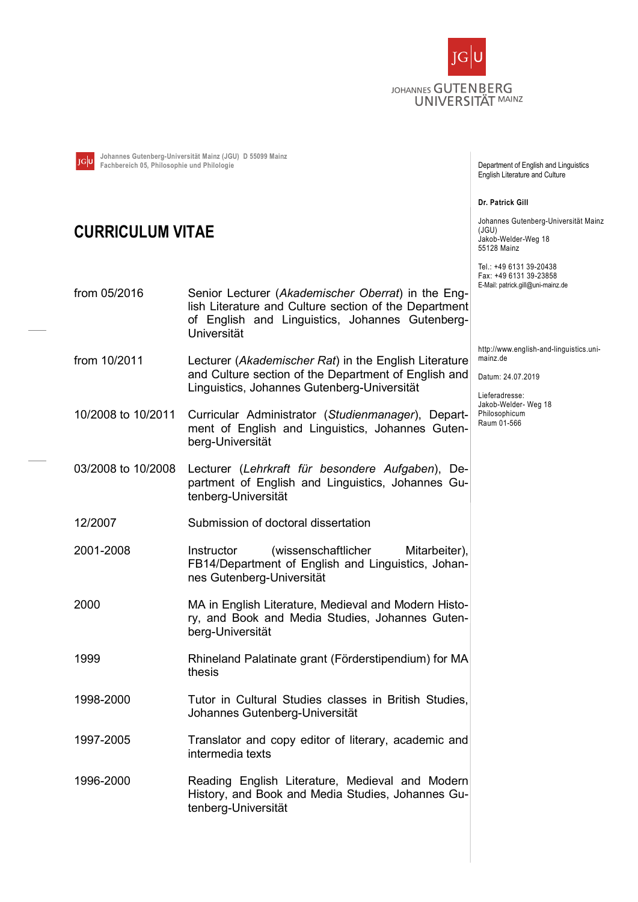

Johannes Gutenberg-Universität Mainz (JGU) D 55099 Mainz Fachbereich 05, Philosophie und Philologie

## CURRICULUM VITAE

from 05/2016 Senior Lecturer (Akademischer Oberrat) in the English Literature and Culture section of the Department of English and Linguistics, Johannes Gutenberg-Universität

- from 10/2011 Lecturer (Akademischer Rat) in the English Literature and Culture section of the Department of English and Linguistics, Johannes Gutenberg-Universität
- 10/2008 to 10/2011 Curricular Administrator (Studienmanager), Department of English and Linguistics, Johannes Gutenberg-Universität
- 03/2008 to 10/2008 Lecturer (Lehrkraft für besondere Aufgaben), Department of English and Linguistics, Johannes Gutenberg-Universität
- 12/2007 Submission of doctoral dissertation
- 2001-2008 Instructor (wissenschaftlicher Mitarbeiter), FB14/Department of English and Linguistics, Johannes Gutenberg-Universität
- 2000 MA in English Literature, Medieval and Modern History, and Book and Media Studies, Johannes Gutenberg-Universität
- 1999 Rhineland Palatinate grant (Förderstipendium) for MA thesis
- 1998-2000 Tutor in Cultural Studies classes in British Studies, Johannes Gutenberg-Universität
- 1997-2005 Translator and copy editor of literary, academic and intermedia texts
- 1996-2000 Reading English Literature, Medieval and Modern History, and Book and Media Studies, Johannes Gutenberg-Universität

Department of English and Linguistics English Literature and Culture

Dr. Patrick Gill

Johannes Gutenberg-Universität Mainz (JGU) Jakob-Welder-Weg 18 55128 Mainz

Tel.: +49 6131 39-20438 Fax: +49 6131 39-23858 E-Mail: patrick.gill@uni-mainz.de

http://www.english-and-linguistics.unimainz.de

Datum: 24.07.2019

Lieferadresse: Jakob-Welder- Weg 18 Philosophicum Raum 01-566